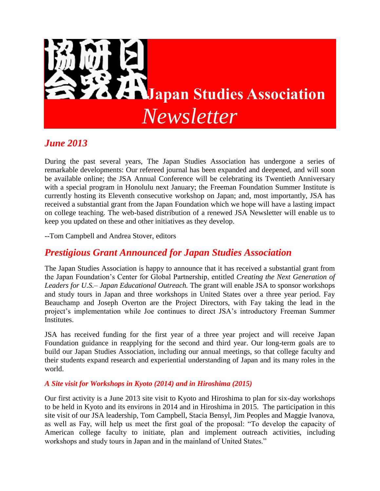

## *June 2013*

During the past several years, The Japan Studies Association has undergone a series of remarkable developments: Our refereed journal has been expanded and deepened, and will soon be available online; the JSA Annual Conference will be celebrating its Twentieth Anniversary with a special program in Honolulu next January; the Freeman Foundation Summer Institute is currently hosting its Eleventh consecutive workshop on Japan; and, most importantly, JSA has received a substantial grant from the Japan Foundation which we hope will have a lasting impact on college teaching. The web-based distribution of a renewed JSA Newsletter will enable us to keep you updated on these and other initiatives as they develop.

--Tom Campbell and Andrea Stover, editors

## *Prestigious Grant Announced for Japan Studies Association*

The Japan Studies Association is happy to announce that it has received a substantial grant from the Japan Foundation's Center for Global Partnership, entitled *Creating the Next Generation of Leaders for U.S.– Japan Educational Outreach.* The grant will enable JSA to sponsor workshops and study tours in Japan and three workshops in United States over a three year period. Fay Beauchamp and Joseph Overton are the Project Directors, with Fay taking the lead in the project's implementation while Joe continues to direct JSA's introductory Freeman Summer **Institutes.** 

JSA has received funding for the first year of a three year project and will receive Japan Foundation guidance in reapplying for the second and third year. Our long-term goals are to build our Japan Studies Association, including our annual meetings, so that college faculty and their students expand research and experiential understanding of Japan and its many roles in the world.

#### *A Site visit for Workshops in Kyoto (2014) and in Hiroshima (2015)*

Our first activity is a June 2013 site visit to Kyoto and Hiroshima to plan for six-day workshops to be held in Kyoto and its environs in 2014 and in Hiroshima in 2015. The participation in this site visit of our JSA leadership, Tom Campbell, Stacia Bensyl, Jim Peoples and Maggie Ivanova, as well as Fay, will help us meet the first goal of the proposal: "To develop the capacity of American college faculty to initiate, plan and implement outreach activities, including workshops and study tours in Japan and in the mainland of United States."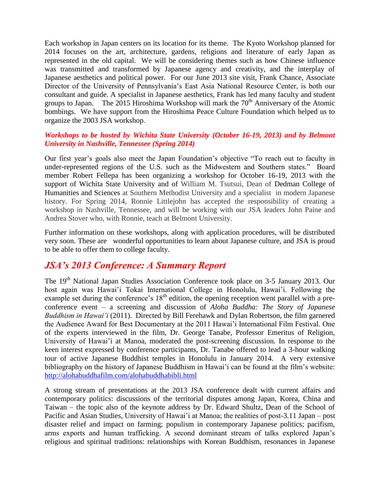Each workshop in Japan centers on its location for its theme. The Kyoto Workshop planned for 2014 focuses on the art, architecture, gardens, religions and literature of early Japan as represented in the old capital. We will be considering themes such as how Chinese influence was transmitted and transformed by Japanese agency and creativity, and the interplay of Japanese aesthetics and political power. For our June 2013 site visit, Frank Chance, Associate Director of the University of Pennsylvania's East Asia National Resource Center, is both our consultant and guide. A specialist in Japanese aesthetics, Frank has led many faculty and student groups to Japan. The  $2015$  Hiroshima Workshop will mark the  $70<sup>th</sup>$  Anniversary of the Atomic bombings. We have support from the Hiroshima Peace Culture Foundation which helped us to organize the 2003 JSA workshop.

#### *Workshops to be hosted by Wichita State University (October 16-19, 2013) and by Belmont University in Nashville, Tennessee (Spring 2014)*

Our first year's goals also meet the Japan Foundation's objective "To reach out to faculty in under-represented regions of the U.S. such as the Midwestern and Southern states." Board member Robert Fellepa has been organizing a workshop for October 16-19, 2013 with the support of Wichita State University and of William M. Tsutsui, Dean of [Dedman College](http://smu.edu/dedman) of [Humanities and Sciences a](http://smu.edu/dedman)t Southern Methodist University and a specialist in modern Japanese history. For Spring 2014, Ronnie Littlejohn has accepted the responsibility of creating a workshop in Nashville, Tennessee, and will be working with our JSA leaders John Paine and Andrea Stover who, with Ronnie, teach at Belmont University.

Further information on these workshops, along with application procedures, will be distributed very soon. These are wonderful opportunities to learn about Japanese culture, and JSA is proud to be able to offer them to college faculty.

### *JSA's 2013 Conference: A Summary Report*

The 19<sup>th</sup> National Japan Studies Association Conference took place on 3-5 January 2013. Our host again was Hawai'i Tokai International College in Honolulu, Hawai'i. Following the example set during the conference's  $18<sup>th</sup>$  edition, the opening reception went parallel with a preconference event – a screening and discussion of *Aloha Buddha: The Story of Japanese Buddhism in Hawai'i* (2011). Directed by Bill Ferehawk and Dylan Robertson, the film garnered the Audience Award for Best Documentary at the 2011 Hawai'i International Film Festival. One of the experts interviewed in the film, Dr. George Tanabe, Professor Emeritus of Religion, University of Hawai'i at Manoa, moderated the post-screening discussion. In response to the keen interest expressed by conference participants, Dr. Tanabe offered to lead a 3-hour walking tour of active Japanese Buddhist temples in Honolulu in January 2014. A very extensive bibliography on the history of Japanese Buddhism in Hawai'i can be found at the film's website: <http://alohabuddhafilm.com/alohabuddhabibli.html>

A strong stream of presentations at the 2013 JSA conference dealt with current affairs and contemporary politics: discussions of the territorial disputes among Japan, Korea, China and Taiwan – the topic also of the keynote address by Dr. Edward Shultz, Dean of the School of Pacific and Asian Studies, University of Hawai'i at Manoa; the realities of post-3.11 Japan – post disaster relief and impact on farming; populism in contemporary Japanese politics; pacifism, arms exports and human trafficking. A second dominant stream of talks explored Japan's religious and spiritual traditions: relationships with Korean Buddhism, resonances in Japanese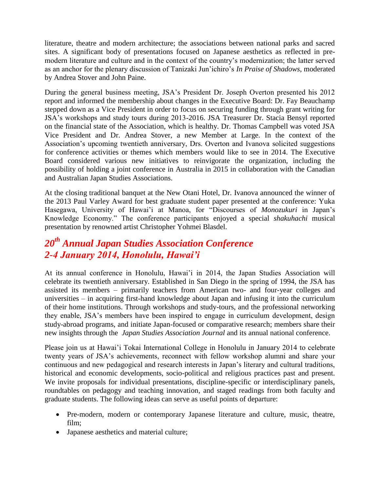literature, theatre and modern architecture; the associations between national parks and sacred sites. A significant body of presentations focused on Japanese aesthetics as reflected in premodern literature and culture and in the context of the country's modernization; the latter served as an anchor for the plenary discussion of Tanizaki Jun'ichiro's *In Praise of Shadows*, moderated by Andrea Stover and John Paine.

During the general business meeting, JSA's President Dr. Joseph Overton presented his 2012 report and informed the membership about changes in the Executive Board: Dr. Fay Beauchamp stepped down as a Vice President in order to focus on securing funding through grant writing for JSA's workshops and study tours during 2013-2016. JSA Treasurer Dr. Stacia Bensyl reported on the financial state of the Association, which is healthy. Dr. Thomas Campbell was voted JSA Vice President and Dr. Andrea Stover, a new Member at Large. In the context of the Association's upcoming twentieth anniversary, Drs. Overton and Ivanova solicited suggestions for conference activities or themes which members would like to see in 2014. The Executive Board considered various new initiatives to reinvigorate the organization, including the possibility of holding a joint conference in Australia in 2015 in collaboration with the Canadian and Australian Japan Studies Associations.

At the closing traditional banquet at the New Otani Hotel, Dr. Ivanova announced the winner of the 2013 Paul Varley Award for best graduate student paper presented at the conference: Yuka Hasegawa, University of Hawai'i at Manoa, for "Discourses of *Monozukuri* in Japan's Knowledge Economy." The conference participants enjoyed a special *shakuhachi* musical presentation by renowned artist Christopher Yohmei Blasdel.

# *20th Annual Japan Studies Association Conference 2-4 January 2014, Honolulu, Hawai'i*

At its annual conference in Honolulu, Hawai'i in 2014, the Japan Studies Association will celebrate its twentieth anniversary. Established in San Diego in the spring of 1994, the JSA has assisted its members – primarily teachers from American two- and four-year colleges and universities – in acquiring first-hand knowledge about Japan and infusing it into the curriculum of their home institutions. Through workshops and study-tours, and the professional networking they enable, JSA's members have been inspired to engage in curriculum development, design study-abroad programs, and initiate Japan-focused or comparative research; members share their new insights through the *Japan Studies Association Journal* and its annual national conference.

Please join us at Hawai'i Tokai International College in Honolulu in January 2014 to celebrate twenty years of JSA's achievements, reconnect with fellow workshop alumni and share your continuous and new pedagogical and research interests in Japan's literary and cultural traditions, historical and economic developments, socio-political and religious practices past and present. We invite proposals for individual presentations, discipline-specific or interdisciplinary panels, roundtables on pedagogy and teaching innovation, and staged readings from both faculty and graduate students. The following ideas can serve as useful points of departure:

- Pre-modern, modern or contemporary Japanese literature and culture, music, theatre, film;
- Japanese aesthetics and material culture;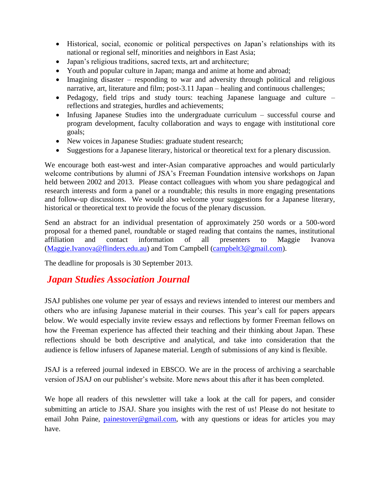- Historical, social, economic or political perspectives on Japan's relationships with its national or regional self, minorities and neighbors in East Asia;
- Japan's religious traditions, sacred texts, art and architecture;
- Youth and popular culture in Japan; manga and anime at home and abroad;
- Imagining disaster responding to war and adversity through political and religious narrative, art, literature and film; post-3.11 Japan – healing and continuous challenges;
- Pedagogy, field trips and study tours: teaching Japanese language and culture reflections and strategies, hurdles and achievements;
- Infusing Japanese Studies into the undergraduate curriculum successful course and program development, faculty collaboration and ways to engage with institutional core goals;
- New voices in Japanese Studies: graduate student research;
- Suggestions for a Japanese literary, historical or theoretical text for a plenary discussion.

We encourage both east-west and inter-Asian comparative approaches and would particularly welcome contributions by alumni of JSA's Freeman Foundation intensive workshops on Japan held between 2002 and 2013. Please contact colleagues with whom you share pedagogical and research interests and form a panel or a roundtable; this results in more engaging presentations and follow-up discussions. We would also welcome your suggestions for a Japanese literary, historical or theoretical text to provide the focus of the plenary discussion.

Send an abstract for an individual presentation of approximately 250 words or a 500-word proposal for a themed panel, roundtable or staged reading that contains the names, institutional affiliation and contact information of all presenters to Maggie Ivanova [\(Maggie.Ivanova@flinders.edu.au\)](mailto:Maggie.Ivanova@flinders.edu.au) and Tom Campbell [\(campbelt3@gmail.com\)](mailto:campbelt3@gmail.com).

The deadline for proposals is 30 September 2013.

### *Japan Studies Association Journal*

JSAJ publishes one volume per year of essays and reviews intended to interest our members and others who are infusing Japanese material in their courses. This year's call for papers appears below. We would especially invite review essays and reflections by former Freeman fellows on how the Freeman experience has affected their teaching and their thinking about Japan. These reflections should be both descriptive and analytical, and take into consideration that the audience is fellow infusers of Japanese material. Length of submissions of any kind is flexible.

JSAJ is a refereed journal indexed in EBSCO. We are in the process of archiving a searchable version of JSAJ on our publisher's website. More news about this after it has been completed.

We hope all readers of this newsletter will take a look at the call for papers, and consider submitting an article to JSAJ. Share you insights with the rest of us! Please do not hesitate to email John Paine, [painestover@gmail.com,](mailto:painestover@gmail.com) with any questions or ideas for articles you may have.